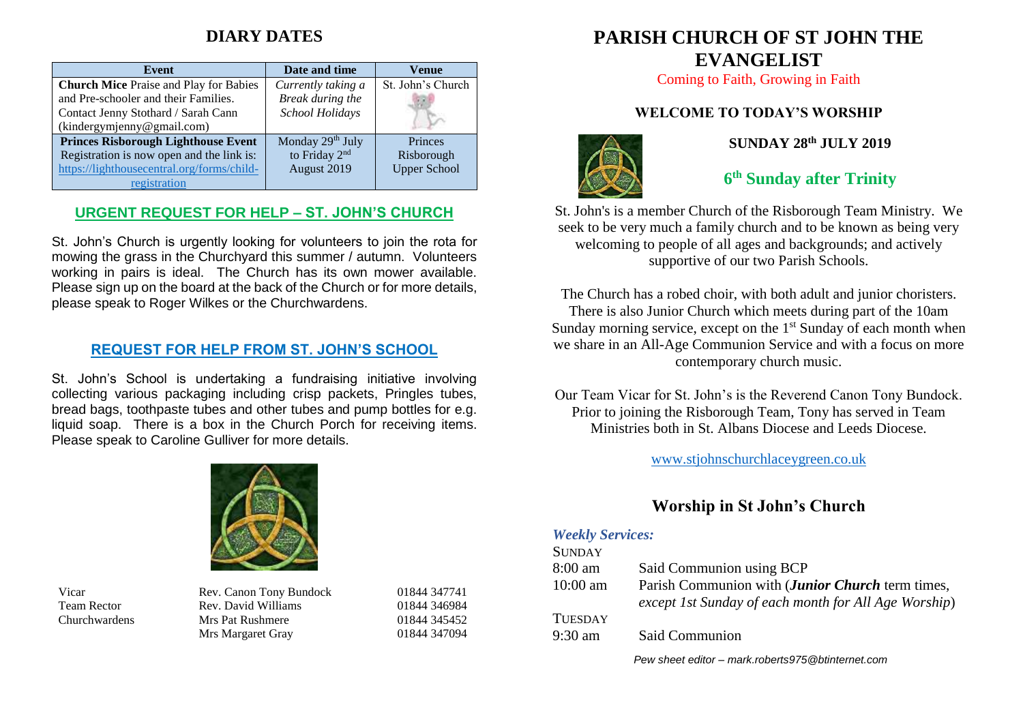# **DIARY DATES**

| <b>Event</b>                                  | Date and time             | Venue               |
|-----------------------------------------------|---------------------------|---------------------|
| <b>Church Mice Praise and Play for Babies</b> | Currently taking a        | St. John's Church   |
| and Pre-schooler and their Families.          | Break during the          |                     |
| Contact Jenny Stothard / Sarah Cann           | School Holidays           |                     |
| (kindergymjenny@gmail.com)                    |                           |                     |
| <b>Princes Risborough Lighthouse Event</b>    | Monday 29th July          | Princes             |
| Registration is now open and the link is:     | to Friday 2 <sup>nd</sup> | Risborough          |
| https://lighthousecentral.org/forms/child-    | August 2019               | <b>Upper School</b> |
| registration                                  |                           |                     |

### **URGENT REQUEST FOR HELP – ST. JOHN'S CHURCH**

St. John's Church is urgently looking for volunteers to join the rota for mowing the grass in the Churchyard this summer / autumn. Volunteers working in pairs is ideal. The Church has its own mower available. Please sign up on the board at the back of the Church or for more details, please speak to Roger Wilkes or the Churchwardens.

### **REQUEST FOR HELP FROM ST. JOHN'S SCHOOL**

St. John's School is undertaking a fundraising initiative involving collecting various packaging including crisp packets, Pringles tubes, bread bags, toothpaste tubes and other tubes and pump bottles for e.g. liquid soap. There is a box in the Church Porch for receiving items. Please speak to Caroline Gulliver for more details.



Vicar Rev. Canon Tony Bundock Team Rector Rev. David Williams Churchwardens Mrs Pat Rushmere Mrs Margaret Gray

| 01844 347741 |
|--------------|
| 01844 346984 |
| 01844 345452 |
| 01844 347094 |

# **PARISH CHURCH OF ST JOHN THE EVANGELIST**

Coming to Faith, Growing in Faith

### **WELCOME TO TODAY'S WORSHIP**



### **SUNDAY 28 th JULY 2019**

# **6 th Sunday after Trinity**

St. John's is a member Church of the Risborough Team Ministry. We seek to be very much a family church and to be known as being very welcoming to people of all ages and backgrounds; and actively supportive of our two Parish Schools.

The Church has a robed choir, with both adult and junior choristers. There is also Junior Church which meets during part of the 10am Sunday morning service, except on the  $1<sup>st</sup>$  Sunday of each month when we share in an All-Age Communion Service and with a focus on more contemporary church music.

Our Team Vicar for St. John's is the Reverend Canon Tony Bundock. Prior to joining the Risborough Team, Tony has served in Team Ministries both in St. Albans Diocese and Leeds Diocese.

[www.stjohnschurchlaceygreen.co.uk](http://www.stjohnschurchlaceygreen.co.uk/)

## **Worship in St John's Church**

#### *Weekly Services:*

| <b>SUNDAY</b>     |                                                                                                          |
|-------------------|----------------------------------------------------------------------------------------------------------|
| $8:00 \text{ am}$ | Said Communion using BCP                                                                                 |
| $10:00$ am        | Parish Communion with (Junior Church term times,<br>except 1st Sunday of each month for All Age Worship) |
| <b>TUESDAY</b>    |                                                                                                          |
| $9:30$ am         | Said Communion                                                                                           |
|                   |                                                                                                          |

*Pew sheet editor – mark.roberts975@btinternet.com*